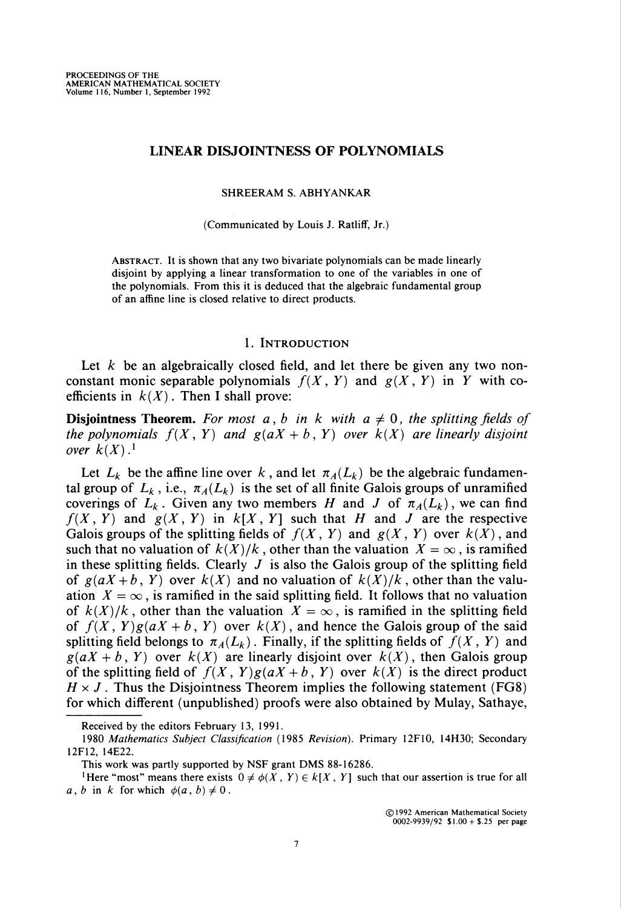## LINEAR DISJOINTNESS OF POLYNOMIALS

SHREERAM S. ABHYANKAR

(Communicated by Louis J. Ratliff, Jr.)

Abstract. It is shown that any two bivariate polynomials can be made linearly disjoint by applying a linear transformation to one of the variables in one of the polynomials. From this it is deduced that the algebraic fundamental group of an affine line is closed relative to direct products.

### 1. Introduction

Let  $k$  be an algebraically closed field, and let there be given any two nonconstant monic separable polynomials  $f(X, Y)$  and  $g(X, Y)$  in Y with coefficients in  $k(X)$ . Then I shall prove:

**Disjointness Theorem.** For most a, b in k with  $a \neq 0$ , the splitting fields of the polynomials  $f(X, Y)$  and  $g(aX + b, Y)$  over  $k(X)$  are linearly disjoint over  $k(X)$ .<sup>1</sup>

Let  $L_k$  be the affine line over k, and let  $\pi_A(L_k)$  be the algebraic fundamental group of  $L_k$ , i.e.,  $\pi_A(L_k)$  is the set of all finite Galois groups of unramified coverings of  $L_k$ . Given any two members H and J of  $\pi_A(L_k)$ , we can find  $f(X, Y)$  and  $g(X, Y)$  in  $k[X, Y]$  such that H and J are the respective Galois groups of the splitting fields of  $f(X, Y)$  and  $g(X, Y)$  over  $k(X)$ , and such that no valuation of  $k(X)/k$ , other than the valuation  $X = \infty$ , is ramified in these splitting fields. Clearly  $J$  is also the Galois group of the splitting field of  $g(aX + b, Y)$  over  $k(X)$  and no valuation of  $k(X)/k$ , other than the valuation  $X = \infty$ , is ramified in the said splitting field. It follows that no valuation of  $k(X)/k$ , other than the valuation  $X = \infty$ , is ramified in the splitting field of  $f(X, Y)g(aX + b, Y)$  over  $k(X)$ , and hence the Galois group of the said splitting field belongs to  $\pi_A(L_k)$ . Finally, if the splitting fields of  $f(X, Y)$  and  $g(aX + b, Y)$  over  $k(X)$  are linearly disjoint over  $k(X)$ , then Galois group of the splitting field of  $f(X, Y)g(aX + b, Y)$  over  $k(X)$  is the direct product  $H \times J$ . Thus the Disjointness Theorem implies the following statement (FG8) for which different (unpublished) proofs were also obtained by Mulay, Sathaye,

Received by the editors February 13, 1991.

<sup>1980</sup> Mathematics Subject Classification (1985 Revision). Primary 12F10, 14H30; Secondary 12F12, 14E22.

This work was partly supported by NSF grant DMS 88-16286.

<sup>&</sup>lt;sup>1</sup>Here "most" means there exists  $0 \neq \phi(X, Y) \in k[X, Y]$  such that our assertion is true for all  $a, b$  in k for which  $\phi(a, b) \neq 0$ .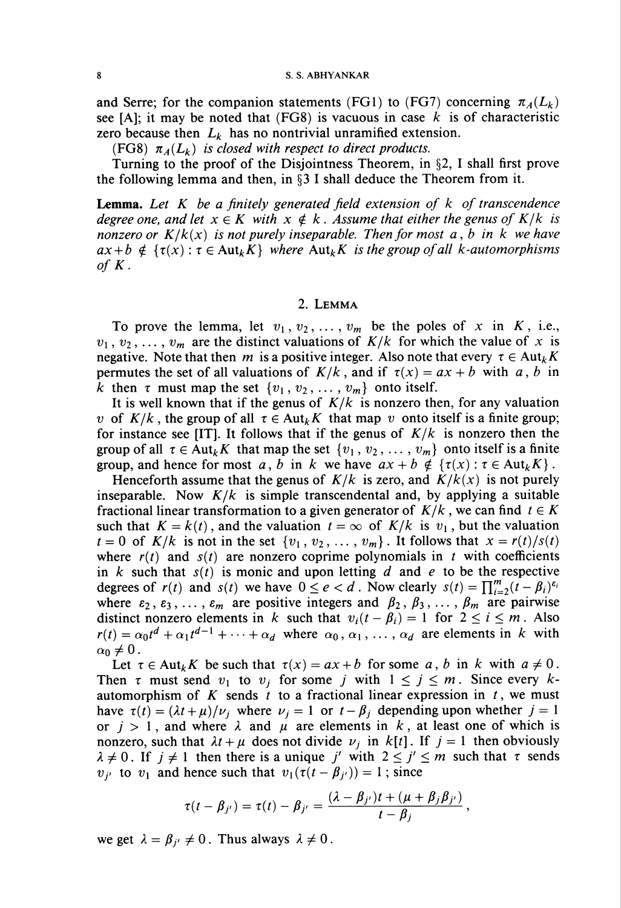and Serre; for the companion statements (FG1) to (FG7) concerning  $\pi_A(L_k)$ see [A]; it may be noted that (FG8) is vacuous in case  $k$  is of characteristic zero because then  $L_k$  has no nontrivial unramified extension.

(FG8)  $\pi_A(L_k)$  is closed with respect to direct products.

Turning to the proof of the Disjointness Theorem, in  $\S$ 2, I shall first prove the following lemma and then, in §3 I shall deduce the Theorem from it.

**Lemma.** Let  $K$  be a finitely generated field extension of  $k$  of transcendence degree one, and let  $x \in K$  with  $x \notin k$ . Assume that either the genus of  $K/k$  is nonzero or  $K/k(x)$  is not purely inseparable. Then for most a, b in k we have  $ax + b \notin {\tau(x) : \tau \in Aut_k K}$  where  $Aut_k K$  is the group of all k-automorphisms of  $K$ .

#### 2. Lemma

To prove the lemma, let  $v_1, v_2, \ldots, v_m$  be the poles of x in K, i.e.,  $v_1, v_2, \ldots, v_m$  are the distinct valuations of  $K/k$  for which the value of x is negative. Note that then m is a positive integer. Also note that every  $\tau \in \text{Aut}_k K$ permutes the set of all valuations of  $K/k$ , and if  $\tau(x) = ax + b$  with a, b in k then  $\tau$  must map the set  $\{v_1, v_2, \ldots, v_m\}$  onto itself.

It is well known that if the genus of  $K/k$  is nonzero then, for any valuation v of  $K/k$ , the group of all  $\tau \in Aut_kK$  that map v onto itself is a finite group; for instance see [IT]. It follows that if the genus of  $K/k$  is nonzero then the group of all  $\tau \in Aut_kK$  that map the set  $\{v_1, v_2, \ldots, v_m\}$  onto itself is a finite group, and hence for most a, b in k we have  $ax + b \notin {\tau(x) : \tau \in Aut_kK}$ .

Henceforth assume that the genus of  $K/k$  is zero, and  $K/k(x)$  is not purely inseparable. Now  $K/k$  is simple transcendental and, by applying a suitable fractional linear transformation to a given generator of  $K/k$ , we can find  $t \in K$ such that  $K = k(t)$ , and the valuation  $t = \infty$  of  $K/k$  is  $v_1$ , but the valuation  $t = 0$  of  $K/k$  is not in the set  $\{v_1, v_2, \ldots, v_m\}$ . It follows that  $x = r(t)/s(t)$ where  $r(t)$  and  $s(t)$  are nonzero coprime polynomials in t with coefficients in k such that  $s(t)$  is monic and upon letting d and e to be the respective degrees of  $r(t)$  and  $s(t)$  we have  $0 \le e < d$ . Now clearly  $s(t) = \prod_{i=2}^{m} (t - \beta_i)^{\varepsilon_i}$ where  $\varepsilon_2, \varepsilon_3, \ldots, \varepsilon_m$  are positive integers and  $\beta_2, \beta_3, \ldots, \beta_m$  are pairwise distinct nonzero elements in k such that  $v_i(t - \beta_i) = 1$  for  $2 \le i \le m$ . Also  $r(t) = \alpha_0 t^d + \alpha_1 t^{d-1} + \cdots + \alpha_d$  where  $\alpha_0, \alpha_1, \ldots, \alpha_d$  are elements in k with  $\alpha_0\neq 0$ .

Let  $\tau \in \text{Aut}_k K$  be such that  $\tau(x) = ax + b$  for some a, b in k with  $a \neq 0$ . Then  $\tau$  must send  $v_1$  to  $v_j$  for some j with  $1 \leq j \leq m$ . Since every kautomorphism of K sends t to a fractional linear expression in  $t$ , we must have  $\tau(t) = (\lambda t + \mu)/\nu_i$  where  $\nu_i = 1$  or  $t - \beta_i$  depending upon whether  $j = 1$ or  $j > 1$ , and where  $\lambda$  and  $\mu$  are elements in k, at least one of which is nonzero, such that  $\lambda t + \mu$  does not divide  $\nu_i$  in  $k[t]$ . If  $j = 1$  then obviously  $\lambda \neq 0$ . If  $j \neq 1$  then there is a unique j' with  $2 \leq j' \leq m$  such that  $\tau$  sends  $v_{i'}$  to  $v_1$  and hence such that  $v_1(\tau(t - \beta_{i'})) = 1$ ; since

$$
\tau(t-\beta_{j'})=\tau(t)-\beta_{j'}=\frac{(\lambda-\beta_{j'})t+(\mu+\beta_j\beta_{j'})}{t-\beta_j},
$$

we get  $\lambda = \beta_{i'} \neq 0$ . Thus always  $\lambda \neq 0$ .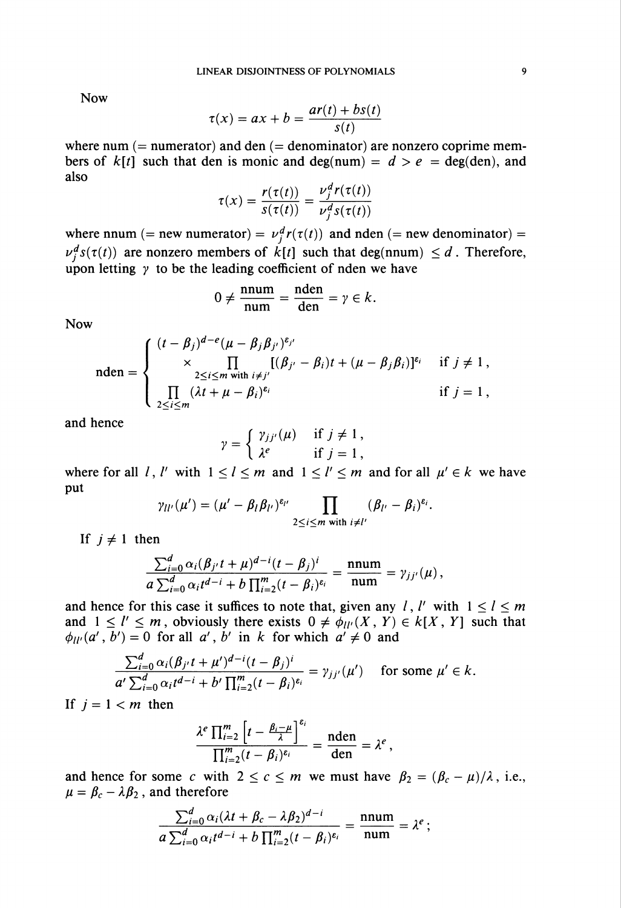**Now** 

$$
\tau(x) = ax + b = \frac{ar(t) + bs(t)}{s(t)}
$$

where num  $($  = numerator) and den  $($  = denominator) are nonzero coprime members of  $k[t]$  such that den is monic and deg(num) =  $d > e$  = deg(den), and also

$$
\tau(x) = \frac{r(\tau(t))}{s(\tau(t))} = \frac{\nu_j^d r(\tau(t))}{\nu_j^d s(\tau(t))}
$$

where nnum (= new numerator) =  $\nu_i^d r(\tau(t))$  and nden (= new denominator) =  $\nu_i^d s(\tau(i))$  are nonzero members of  $\kappa[t]$  such that deg(nnum)  $\leq d$ . Therefore, upon letting  $\gamma$  to be the leading coefficient of nden we have

$$
0 \neq \frac{\text{num}}{\text{num}} = \frac{\text{nden}}{\text{den}} = \gamma \in k.
$$

**Now** 

$$
\text{nden} = \begin{cases} (t - \beta_j)^{d - e} (\mu - \beta_j \beta_{j'})^{\varepsilon_{j'}} \\ \times \prod_{2 \leq i \leq m} [( \beta_{j'} - \beta_i ) t + (\mu - \beta_j \beta_i ) ]^{\varepsilon_i} & \text{if } j \neq 1, \\ \prod_{2 \leq i \leq m} (\lambda t + \mu - \beta_i)^{\varepsilon_i} & \text{if } j = 1, \end{cases}
$$

and hence

$$
\gamma = \begin{cases} \gamma_{jj'}(\mu) & \text{if } j \neq 1, \\ \lambda^e & \text{if } j = 1, \end{cases}
$$

where for all l, l' with  $1 \le l \le m$  and  $1 \le l' \le m$  and for all  $\mu' \in k$  we have put

$$
\gamma_{ll'}(\mu')=(\mu'-\beta_l\beta_{l'})^{\varepsilon_{l'}}\prod_{2\leq i\leq m\text{ with }i\neq l'}(\beta_{l'}-\beta_i)^{\varepsilon_i}.
$$

If  $j \neq 1$  then

$$
\frac{\sum_{i=0}^{d} \alpha_i (\beta_{j'} t + \mu)^{d-i} (t - \beta_j)^i}{a \sum_{i=0}^{d} \alpha_i t^{d-i} + b \prod_{i=2}^{m} (t - \beta_i)^{\varepsilon_i}} = \frac{\text{num}}{\text{num}} = \gamma_{jj'}(\mu),
$$

and hence for this case it suffices to note that, given any l, l' with  $1 \le l \le m$ and  $1 \leq l' \leq m$ , obviously there exists  $0 \neq \phi_{ll'}(X, Y) \in k[X, Y]$  such that  $\phi_{ll'}(a', b') = 0$  for all a', b' in k for which  $a' \neq 0$  and

$$
\frac{\sum_{i=0}^d \alpha_i (\beta_{j'} t + \mu')^{d-i} (t - \beta_j)^i}{a' \sum_{i=0}^d \alpha_i t^{d-i} + b' \prod_{i=2}^m (t - \beta_i)^{\varepsilon_i}} = \gamma_{jj'}(\mu') \quad \text{for some } \mu' \in k.
$$

If  $j = 1 < m$  then

$$
\frac{\lambda^e \prod_{i=2}^m \left[t - \frac{\beta_i - \mu}{\lambda}\right]^{e_i}}{\prod_{i=2}^m (t - \beta_i)^{e_i}} = \frac{\text{nden}}{\text{den}} = \lambda^e,
$$

and hence for some c with  $2 \le c \le m$  we must have  $\beta_2 = (\beta_c - \mu)/\lambda$ , i.e.,  $\mu = \beta_c - \lambda \beta_2$ , and therefore

$$
\frac{\sum_{i=0}^{a} \alpha_i (\lambda t + \beta_c - \lambda \beta_2)^{d-i}}{a \sum_{i=0}^{d} \alpha_i t^{d-i} + b \prod_{i=2}^{m} (t - \beta_i)^{\varepsilon_i}} = \frac{\text{num}}{\text{num}} = \lambda^e ;
$$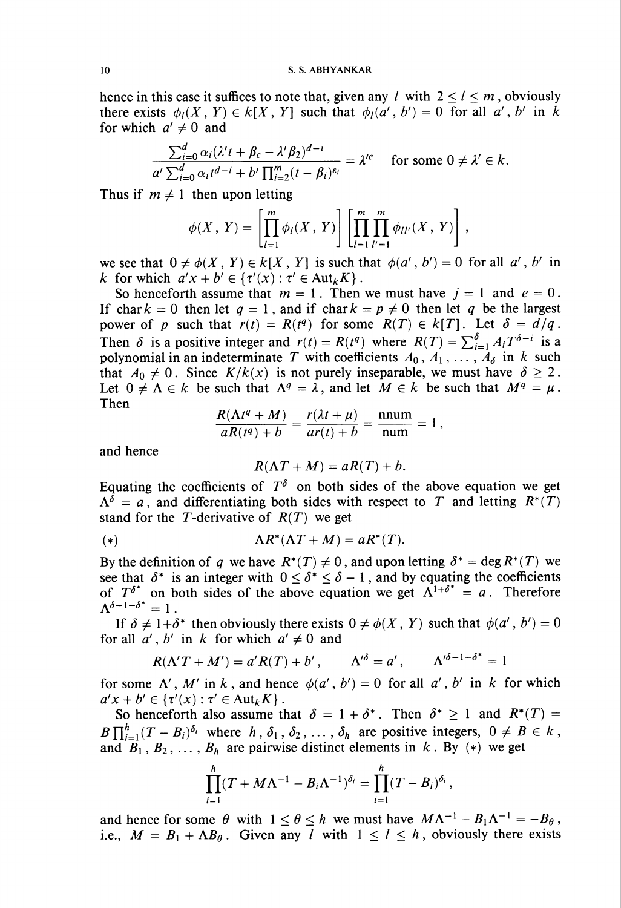hence in this case it suffices to note that, given any l with  $2 \le l \le m$ , obviously there exists  $\phi_l(X, Y) \in k[X, Y]$  such that  $\phi_l(a', b') = 0$  for all a', b' in k for which  $a' \neq 0$  and

$$
\frac{\sum_{i=0}^{d} \alpha_i (\lambda' t + \beta_c - \lambda' \beta_2)^{d-i}}{\alpha' \sum_{i=0}^{d} \alpha_i t^{d-i} + b' \prod_{i=2}^{m} (t - \beta_i)^{\epsilon_i}} = \lambda'^e \quad \text{for some } 0 \neq \lambda' \in k.
$$

Thus if  $m \neq 1$  then upon letting

$$
\phi(X, Y) = \left[ \prod_{l=1}^{m} \phi_{l}(X, Y) \right] \left[ \prod_{l=1}^{m} \prod_{l'=1}^{m} \phi_{ll'}(X, Y) \right],
$$

we see that  $0 \neq \phi(X, Y) \in k[X, Y]$  is such that  $\phi(a', b') = 0$  for all a', b' in k for which  $a'x + b' \in \{\tau'(x) : \tau' \in Aut_kK\}$ .

So henceforth assume that  $m = 1$ . Then we must have  $j = 1$  and  $e = 0$ . If chark = 0 then let  $q = 1$ , and if chark =  $p \neq 0$  then let q be the largest power of p such that  $r(t) = R(t^q)$  for some  $R(T) \in k[T]$ . Let  $\delta = d/q$ . Then  $\delta$  is a positive integer and  $r(t) = R(t^q)$  where  $R(T) = \sum_{i=1}^{\delta} A_i T^{\delta-i}$  is a polynomial in an indeterminate T with coefficients  $A_0, A_1, ..., A_{\delta}$  in k such that  $A_0 \neq 0$ . Since  $K/k(x)$  is not purely inseparable, we must have  $\delta \geq 2$ . Let  $0 \neq \Lambda \in k$  be such that  $\Lambda^q = \lambda$ , and let  $M \in k$  be such that  $M^q = \mu$ . Then

$$
\frac{R(\Lambda t^q + M)}{aR(t^q) + b} = \frac{r(\lambda t + \mu)}{ar(t) + b} = \frac{\text{num}}{\text{num}} = 1,
$$

and hence

$$
R(\Lambda T + M) = aR(T) + b.
$$

Equating the coefficients of  $T^{\delta}$  on both sides of the above equation we get  $\Lambda^{\delta} = a$ , and differentiating both sides with respect to T and letting  $R^*(T)$ stand for the T-derivative of  $R(T)$  we get

(\*) 
$$
\Lambda R^*(\Lambda T + M) = aR^*(T).
$$

By the definition of q we have  $R^*(T) \neq 0$ , and upon letting  $\delta^* = \deg R^*(T)$  we see that  $\delta^*$  is an integer with  $0 \le \delta^* \le \delta - 1$ , and by equating the coefficients<br>of  $T^{\delta^*}$  on both sides of the above equation we get  $\Lambda^{1+\delta^*} = a$ . Therefore<br> $\Lambda^{\delta-1-\delta^*} = 1$ .

If  $\delta \neq 1 + \delta^*$  then obviously there exists  $0 \neq \phi(X, Y)$  such that  $\phi(a', b') = 0$ for all a', b' in k for which  $a' \neq 0$  and

$$
R(\Lambda' T + M') = a' R(T) + b', \qquad \Lambda'^{\delta} = a', \qquad \Lambda'^{\delta - 1 - \delta^*} = 1
$$

for some  $\Lambda'$ , M' in k, and hence  $\phi(a', b') = 0$  for all a', b' in k for which  $a'x + b' \in \{\tau'(x) : \tau' \in Aut_kK\}.$ 

So henceforth also assume that  $\delta = 1 + \delta^*$ . Then  $\delta^* \ge 1$  and  $R^*(T) =$  $B \prod_{i=1}^{h} (T - B_i)^{\delta_i}$  where  $h, \delta_1, \delta_2, ..., \delta_h$  are positive integers,  $0 \neq B \in k$ , and  $B_1, B_2, ..., B_h$  are pairwise distinct elements in  $k$ . By  $(*)$  we get

$$
\prod_{i=1}^h (T+M\Lambda^{-1}-B_i\Lambda^{-1})^{\delta_i}=\prod_{i=1}^h (T-B_i)^{\delta_i}
$$

and hence for some  $\theta$  with  $1 \le \theta \le h$  we must have  $M\Lambda^{-1} - B_1\Lambda^{-1} = -B_\theta$ , i.e.,  $M = B_1 + \Lambda B_\theta$ . Given any l with  $1 \le l \le h$ , obviously there exists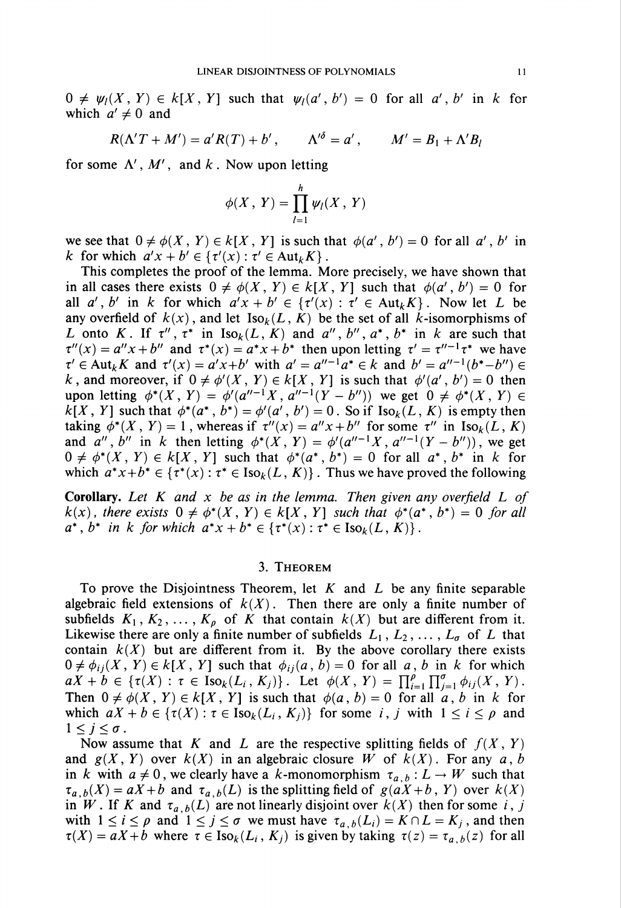$0 \neq \psi_1(X, Y) \in k[X, Y]$  such that  $\psi_1(a', b') = 0$  for all a', b' in k for which  $a' \neq 0$  and

$$
R(\Lambda' T + M') = a' R(T) + b', \qquad \Lambda'^{\delta} = a', \qquad M' = B_1 + \Lambda' B_l
$$

for some  $\Lambda'$ ,  $M'$ , and k. Now upon letting

$$
\phi(X, Y) = \prod_{l=1}^h \psi_l(X, Y)
$$

we see that  $0 \neq \phi(X, Y) \in k[X, Y]$  is such that  $\phi(a', b') = 0$  for all a', b' in k for which  $a'x + b' \in \{\tau'(x) : \tau' \in \text{Aut}_k K\}$ .

This completes the proof of the lemma. More precisely, we have shown that in all cases there exists  $0 \neq \phi(X, Y) \in k[X, Y]$  such that  $\phi(a', b') = 0$  for all  $a'$ ,  $b'$  in k for which  $a'x + b' \in \{\tau'(x) : \tau' \in Aut_kK\}$ . Now let L be any overfield of  $k(x)$ , and let Iso<sub>k</sub> $(L, K)$  be the set of all k-isomorphisms of L onto K. If  $\tau''$ ,  $\tau^*$  in  $\text{Iso}_k(L, K)$  and  $a''$ ,  $b''$ ,  $a^*$ ,  $b^*$  in k are such that  $\tau''(x) = a''x + b''$  and  $\tau^{*}(x) = a^{*}x + b^{*}$  then upon letting  $\tau' = \tau''^{-1}\tau^{*}$  we have  $\tau' \in \text{Aut}_k K$  and  $\tau'(x) = a'x+b'$  with  $a' = a''^{-1}a^* \in k$  and  $b' = a''^{-1}(b^* - b'') \in k'$ k, and moreover, if  $0 \neq \phi'(X, Y) \in k[X, Y]$  is such that  $\phi'(a', b') = 0$  then upon letting  $\phi^*(X, Y) = \phi'(a''^{-1}X, a''^{-1}(Y - b''))$  we get  $0 \neq \phi^*(X, Y) \in$  $k[X, Y]$  such that  $\phi^*(a^*, b^*) = \phi'(a', b') = 0$ . So if  $\text{Iso}_k(L, K)$  is empty then taking  $\phi^*(X, Y) = 1$ , whereas if  $\tau''(x) = a''x + b''$  for some  $\tau''$  in  $\text{Iso}_k(L, K)$ and  $a''$ ,  $b''$  in k then letting  $\phi^*(X, Y) = \phi'(a''^{-1}X, a''^{-1}(Y - b''))$ , we get  $0 \neq \phi^*(X, Y) \in k[X, Y]$  such that  $\phi^*(a^*, b^*) = 0$  for all  $a^*, b^*$  in k for which  $a^*x+b^* \in \{ \tau^*(x) : \tau^* \in \text{Iso}_k(L, K) \}$ . Thus we have proved the following

**Corollary.** Let K and x be as in the lemma. Then given any overfield L of  $k(x)$ , there exists  $0 \neq \phi^*(X, Y) \in k[X, Y]$  such that  $\phi^*(a^*, b^*) = 0$  for all  $a^*, b^*$  in k for which  $a^*x + b^* \in {\{\tau^*(x) : \tau^* \in \text{Iso}_k(L, K)\}}$ .

#### 3. Theorem

To prove the Disjointness Theorem, let  $K$  and  $L$  be any finite separable algebraic field extensions of  $k(X)$ . Then there are only a finite number of subfields  $K_1, K_2, \ldots, K_p$  of K that contain  $k(X)$  but are different from it. Likewise there are only a finite number of subfields  $L_1, L_2, \ldots, L_q$  of L that contain  $k(X)$  but are different from it. By the above corollary there exists  $0 \neq \phi_{ij}(X, Y) \in k[X, Y]$  such that  $\phi_{ij}(a, b) = 0$  for all a, b in k for which  $aX + b \in {\tau(X) : \tau \in Iso_k(L_i, K_j)}$ . Let  $\phi(X, Y) = \prod_{i=1}^{\rho} \prod_{j=1}^{\sigma} \phi_{ij}(X, Y)$ . Then  $0 \neq \phi(X, Y) \in k[X, Y]$  is such that  $\phi(a, b) = 0$  for all a, b in k for which  $aX + b \in \{\tau(X) : \tau \in \text{Iso}_k(L_i, K_i)\}\$  for some i, j with  $1 \leq i \leq \rho$  and  $1\leq j\leq \sigma$ .

Now assume that K and L are the respective splitting fields of  $f(X, Y)$ and  $g(X, Y)$  over  $k(X)$  in an algebraic closure W of  $k(X)$ . For any a, b in k with  $a \neq 0$ , we clearly have a k-monomorphism  $\tau_{a,b} : L \to W$  such that  $\tau_{a,b}(X) = aX + b$  and  $\tau_{a,b}(L)$  is the splitting field of  $g(aX + b, Y)$  over  $k(X)$ in W. If K and  $\tau_{a,b}(L)$  are not linearly disjoint over  $k(X)$  then for some i, j with  $1 \le i \le \rho$  and  $1 \le j \le \sigma$  we must have  $\tau_{a,b}(L_i) = K \cap L = K_j$ , and then  $\tau(X) = aX + b$  where  $\tau \in \text{Iso}_k(L_i, K_j)$  is given by taking  $\tau(z) = \tau_{a,b}(z)$  for all